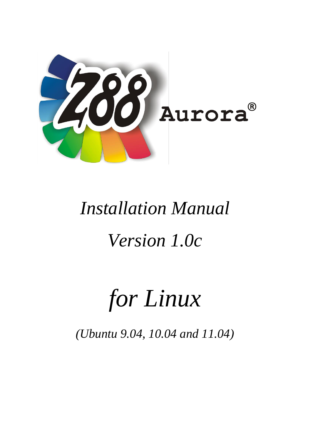

# *Installation Manual Version 1.0c*

# *for Linux*

*(Ubuntu 9.04, 10.04 and 11.04)*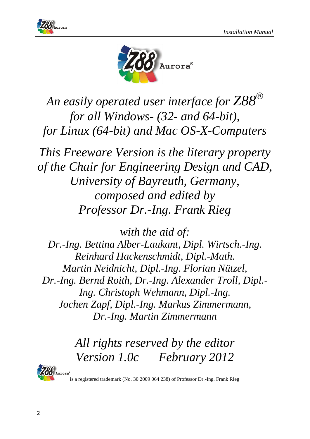



*An easily operated user interface for Z88 for all Windows- (32- and 64-bit), for Linux (64-bit) and Mac OS-X-Computers*

*This Freeware Version is the literary property of the Chair for Engineering Design and CAD, University of Bayreuth, Germany, composed and edited by Professor Dr.-Ing. Frank Rieg*

*with the aid of: Dr.-Ing. Bettina Alber-Laukant, Dipl. Wirtsch.-Ing. Reinhard Hackenschmidt, Dipl.-Math. Martin Neidnicht, Dipl.-Ing. Florian Nützel, Dr.-Ing. Bernd Roith, Dr.-Ing. Alexander Troll, Dipl.- Ing. Christoph Wehmann, Dipl.-Ing. Jochen Zapf, Dipl.-Ing. Markus Zimmermann, Dr.-Ing. Martin Zimmermann*

> *All rights reserved by the editor Version 1.0c February 2012*



is a registered trademark (No. 30 2009 064 238) of Professor Dr.-Ing. Frank Rieg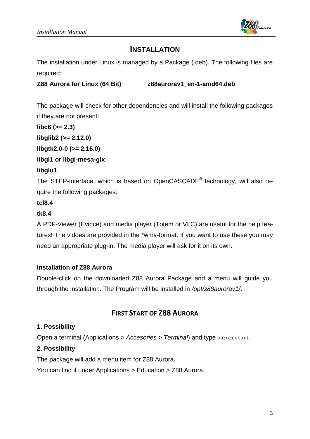

## **INSTALLATION**

The installation under Linux is managed by a Package (.deb). The following files are required:

**Z88 Aurora for Linux (64 Bit) z88aurorav1\_en-1-amd64.deb**

The package will check for other dependencies and will install the following packages if they are not present:

**libc6 (>= 2.3) libglib2 (>= 2.12.0)**

**libgtk2.0-0 (>= 2.16.0)**

### **libgl1 or libgl-mesa-glx**

#### **libglu1**

The STEP-Interface, which is based on OpenCASCADE® technology, will also require the following packages:

## **tcl8.4**

## **tk8.4**

A PDF-Viewer (Evince) and media player (Totem or VLC) are useful for the help features! The vidoes are provided in the \*wmv-format. If you want to use these you may need an appropriate plug-in. The media player will ask for it on its own.

#### **Installation of Z88 Aurora**

Double-click on the downloaded Z88 Aurora Package and a menu will guide you through the installation. The Program will be installed in */opt/z88aurorav1/*.

## **FIRST START OF Z88 AURORA**

#### **1. Possibility**

Open a terminal (Applications *> Accesories > Terminal*) and type aurorastart.

#### **2. Possibility**

The package will add a menu item for Z88 Aurora.

You can find it under Applications > Education > Z88 Aurora.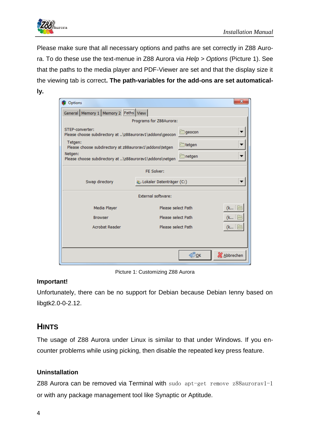

Please make sure that all necessary options and paths are set correctly in Z88 Aurora. To do these use the text-menue in Z88 Aurora via *Help > Options* [\(Picture 1\)](#page-3-0). See that the paths to the media player and PDF-Viewer are set and that the display size it the viewing tab is correct**. The path-variables for the add-ons are set automatically.**

| Options                                                                        | X                                      |
|--------------------------------------------------------------------------------|----------------------------------------|
| General Memory 1 Memory 2 Paths View                                           |                                        |
| Programs for Z88Aurora:                                                        |                                        |
| STEP-converter:<br>Please choose subdirectory at \z88aurorav1\addons\geocon    | geocon                                 |
| Tetgen:<br>Please choose subdirectory at z88aurorav1\addons\tetgen             | tetgen                                 |
| Netgen:<br>िnetgen<br>Please choose subdirectory at \z88aurorav1\addons\netgen |                                        |
| FE Solver:                                                                     |                                        |
| Swap directory                                                                 | Lokaler Datenträger (C:)               |
| External software:                                                             |                                        |
| Media Player                                                                   | Please select Path<br>(k   <u>F</u>    |
| <b>Browser</b>                                                                 | Please select Path<br>(k               |
| <b>Acrobat Reader</b>                                                          | Please select Path<br>(k   <u>  =</u>  |
|                                                                                |                                        |
|                                                                                | $\bigoplus_{\mathsf{QK}}$<br>Abbrechen |

Picture 1: Customizing Z88 Aurora

## <span id="page-3-0"></span>**Important!**

Unfortunately, there can be no support for Debian because Debian Ienny based on libgtk2.0-0-2.12.

## **HINTS**

The usage of Z88 Aurora under Linux is similar to that under Windows. If you encounter problems while using picking, then disable the repeated key press feature.

## **Uninstallation**

Z88 Aurora can be removed via Terminal with sudo apt-get remove z88aurorav1-1 or with any package management tool like Synaptic or Aptitude*.*